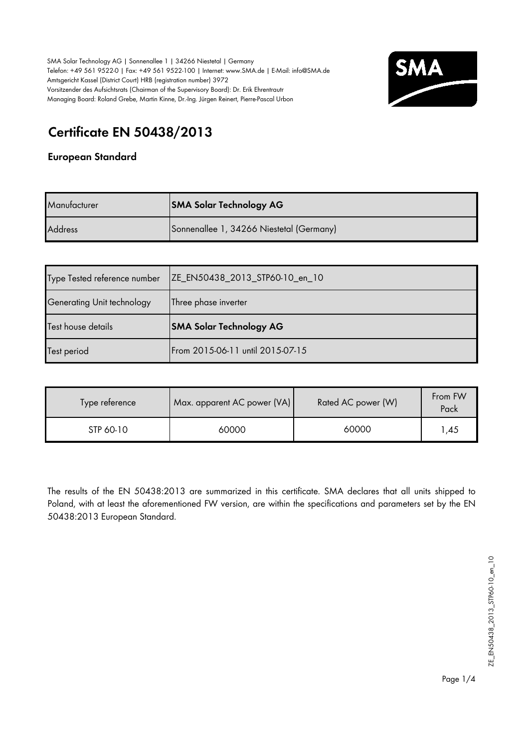

# **Certificate EN 50438/2013**

#### **European Standard**

| Manufacturer   | <b>SMA Solar Technology AG</b>           |
|----------------|------------------------------------------|
| <b>Address</b> | Sonnenallee 1, 34266 Niestetal (Germany) |

| Type Tested reference number | ZE_EN50438_2013_STP60-10_en_10 |
|------------------------------|--------------------------------|
| Generating Unit technology   | Three phase inverter           |
| Test house details           | <b>SMA Solar Technology AG</b> |
|                              |                                |

| Type reference | Max. apparent AC power (VA) | Rated AC power (W) | From FW<br>Pack |
|----------------|-----------------------------|--------------------|-----------------|
| STP 60-10      | 60000                       | 60000              | .45             |

The results of the EN 50438:2013 are summarized in this certificate. SMA declares that all units shipped to Poland, with at least the aforementioned FW version, are within the specifications and parameters set by the EN 50438:2013 European Standard.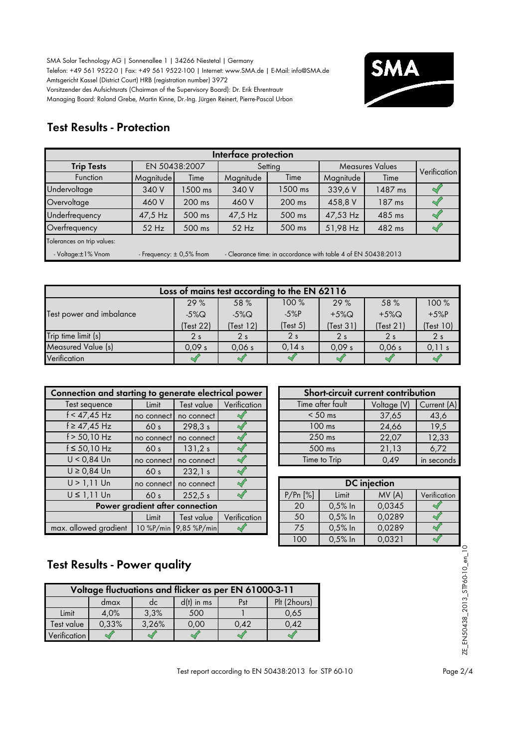

### **Test Results - Protection**

| Interface protection                                                                                                |           |               |           |         |                        |         |  |  |              |  |
|---------------------------------------------------------------------------------------------------------------------|-----------|---------------|-----------|---------|------------------------|---------|--|--|--------------|--|
| <b>Trip Tests</b>                                                                                                   |           | EN 50438:2007 |           | Setting | <b>Measures Values</b> |         |  |  | Verification |  |
| <b>Function</b>                                                                                                     | Magnitude | Time          | Magnitude | Time    | Magnitude              | Time    |  |  |              |  |
| Undervoltage                                                                                                        | 340 V     | 1500 ms       | 340 V     | 1500 ms | 339,6V                 | 1487 ms |  |  |              |  |
| Overvoltage                                                                                                         | 460 V     | 200 ms        | 460 V     | 200 ms  | 458,8 V                | 187 ms  |  |  |              |  |
| Underfrequency                                                                                                      | 47,5 Hz   | 500 ms        | 47,5 Hz   | 500 ms  | 47,53 Hz               | 485 ms  |  |  |              |  |
| Overfrequency                                                                                                       | $52$ Hz   | 500 ms        | $52$ Hz   | 500 ms  | 51,98 Hz               | 482 ms  |  |  |              |  |
| Tolerances on trip values:                                                                                          |           |               |           |         |                        |         |  |  |              |  |
| - Clearance time: in accordance with table 4 of EN 50438:2013<br>- Voltage:±1% Vnom<br>- Frequency: $\pm$ 0,5% fnom |           |               |           |         |                        |         |  |  |              |  |

| Loss of mains test according to the EN 62116 |                |                |                |                |                |                |  |  |  |  |
|----------------------------------------------|----------------|----------------|----------------|----------------|----------------|----------------|--|--|--|--|
|                                              | 29%            | 58 %           | 100%           | 29%            | 58 %           | 100%           |  |  |  |  |
| Test power and imbalance                     | $-5\%$ Q       | $-5\%$ Q       | $-5%P$         | $+5\%$ Q       | $+5\%$ Q       | $+5%P$         |  |  |  |  |
|                                              | Test 22)       | (Test 12)      | (Test 5)       | (Test 31)      | (Test 21)      | (Test 10)      |  |  |  |  |
| Trip time limit (s)                          | 2 <sub>s</sub> | 2 <sub>s</sub> | 2 <sub>s</sub> | 2 <sub>s</sub> | 2 <sub>s</sub> | 2 <sub>s</sub> |  |  |  |  |
| Measured Value (s)                           | 0.09 s         | 0.06 s         | 0.14 s         | 0.09 s         | 0.06 s         | 0,11 s         |  |  |  |  |
| Verification                                 |                |                |                |                |                |                |  |  |  |  |

| Connection and starting to generate electrical power |                 |                       | Short-circuit current contribution |                  |           |                     |                |
|------------------------------------------------------|-----------------|-----------------------|------------------------------------|------------------|-----------|---------------------|----------------|
| Test sequence                                        | Limit           | Test value            | Verification                       | Time after fault |           | Voltage (V)         | Curr           |
| $f < 47,45$ Hz                                       | no connect      | no connect            |                                    |                  | $< 50$ ms | 37,65               | $\overline{4}$ |
| $f \ge 47,45$ Hz                                     | 60 <sub>s</sub> | 298,3 s               |                                    |                  | $100$ ms  | 24,66               |                |
| $f > 50,10$ Hz                                       | no connect      | no connect            |                                    |                  | 250 ms    | 22,07               | 12             |
| $f \le 50,10$ Hz                                     | 60 <sub>s</sub> | 131,2 s               |                                    | 500 ms           |           | 21,13               | 6              |
| $U < 0.84$ Un                                        | no connect      | no connect            |                                    | Time to Trip     |           | 0,49                | in se          |
| $U \ge 0.84$ Un                                      | 60 <sub>s</sub> | 232,1 s               |                                    |                  |           |                     |                |
| $U > 1,11$ Un                                        | no connect      | no connect            |                                    |                  |           | <b>DC</b> injection |                |
| $U \leq 1,11$ Un                                     | 60 <sub>s</sub> | 252.5 s               |                                    | P/Pr[%]          | Limit     | MV(A)               | Verif          |
| Power gradient after connection                      |                 |                       |                                    | 20               | $0,5%$ In | 0,0345              |                |
|                                                      | Limit           | Test value            | Verification                       | 50               | $0,5%$ In | 0,0289              |                |
| max. allowed gradient                                |                 | 10 %P/min 9,85 %P/min |                                    | 75               | $0,5%$ In | 0,0289              |                |

| ing to generate electrical power |            |              | Short-circuit current contribution |             |             |
|----------------------------------|------------|--------------|------------------------------------|-------------|-------------|
| Limit                            | Test value | Verification | Time after fault                   | Voltage (V) | Current (A) |
| no connect                       | no connect |              | $< 50$ ms                          | 37,65       | 43,6        |
| 60 <sub>s</sub>                  | 298,3 s    |              | 100 ms                             | 24,66       | 19,5        |
| no connect                       | no connect |              | 250 ms                             | 22,07       | 12,33       |
| 60 <sub>s</sub>                  | 131,2 s    |              | 500 ms                             | 21,13       | 6,72        |
| no connect                       | no connect |              | Time to Trip                       | 0,49        | in seconds  |

| connect<br>no connect |              |                    | <b>DC</b> injection |         |        |              |  |
|-----------------------|--------------|--------------------|---------------------|---------|--------|--------------|--|
| 252,5 s               |              |                    | P/Pr[%]             | Limit   | MV(A)  | Verification |  |
| nt after connection:  |              |                    | 20                  | 0,5% In | 0,0345 |              |  |
| Test value            | Verification |                    | 50                  | 0,5% In | 0,0289 |              |  |
|                       |              |                    | 75                  | 0,5% In | 0,0289 |              |  |
|                       |              |                    | 100                 | 0,5% In | 0,0321 |              |  |
|                       |              | %P/min 9,85 %P/min |                     |         |        |              |  |

# **Test Results - Power quality**

| Voltage fluctuations and flicker as per EN 61000-3-11 |       |       |      |      |      |  |  |  |  |
|-------------------------------------------------------|-------|-------|------|------|------|--|--|--|--|
| Plt (2hours)<br>$d(t)$ in ms<br>Pst<br>dc<br>dmax     |       |       |      |      |      |  |  |  |  |
| Limit                                                 | 4.0%  | 3,3%  | 500  |      | 0.65 |  |  |  |  |
| Fest value                                            | 0,33% | 3,26% | 0.00 | 0.42 | 0,42 |  |  |  |  |
| Verification                                          |       |       |      |      |      |  |  |  |  |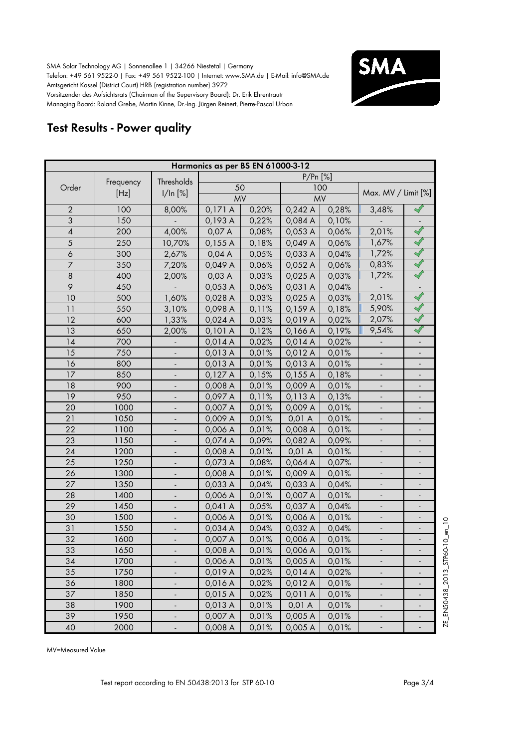

# **Test Results - Power quality**

| Harmonics as per BS EN 61000-3-12     |      |                              |           |       |         |           |                          |                              |  |  |
|---------------------------------------|------|------------------------------|-----------|-------|---------|-----------|--------------------------|------------------------------|--|--|
| $P/Pr$ [%]<br>Thresholds<br>Frequency |      |                              |           |       |         |           |                          |                              |  |  |
| Order                                 |      |                              |           | 50    |         | 100       |                          |                              |  |  |
|                                       | [Hz] | 1/ln [%]                     | <b>MV</b> |       |         | <b>MV</b> | Max. MV / Limit [%]      |                              |  |  |
| $\overline{2}$                        | 100  | 8,00%                        | 0,171A    | 0,20% | 0,242A  | 0,28%     | 3,48%                    | $\prec\!\!\!\!\!\backslash$  |  |  |
| 3                                     | 150  |                              | 0,193 A   | 0,22% | 0,084 A | 0,10%     |                          |                              |  |  |
| $\pmb{4}$                             | 200  | 4,00%                        | 0,07 A    | 0,08% | 0,053 A | 0,06%     | 2,01%                    | $\mathscr{S}$                |  |  |
| 5                                     | 250  | 10,70%                       | 0,155A    | 0,18% | 0,049 A | 0,06%     | 1,67%                    | $\blacklozenge$              |  |  |
| 6                                     | 300  | 2,67%                        | 0,04A     | 0,05% | 0,033 A | 0,04%     | 1,72%                    | $\blacktriangleleft$         |  |  |
| $\overline{7}$                        | 350  | 7,20%                        | 0,049 A   | 0,06% | 0,052 A | 0,06%     | 0,83%                    | $\sqrt{}$                    |  |  |
| $\,8\,$                               | 400  | 2,00%                        | 0,03A     | 0,03% | 0,025 A | 0,03%     | 1,72%                    |                              |  |  |
| 9                                     | 450  |                              | 0,053 A   | 0,06% | 0,031 A | 0,04%     |                          | $\overline{\phantom{a}}$     |  |  |
| 10                                    | 500  | 1,60%                        | 0,028 A   | 0,03% | 0,025 A | 0,03%     | 2,01%                    | $\blacktriangleleft$         |  |  |
| 11                                    | 550  | 3,10%                        | 0,098 A   | 0,11% | 0,159A  | 0,18%     | 5,90%                    | $\prec\!\!\!\!\!\backslash$  |  |  |
| 12                                    | 600  | 1,33%                        | 0,024 A   | 0,03% | 0,019 A | 0,02%     | 2,07%                    | $\blacktriangleleft$         |  |  |
| 13                                    | 650  | 2,00%                        | 0,101A    | 0,12% | 0,166A  | 0,19%     | 9,54%                    | $\mathscr{A}$                |  |  |
| 14                                    | 700  |                              | 0,014A    | 0,02% | 0,014A  | 0,02%     |                          |                              |  |  |
| 15                                    | 750  |                              | 0,013 A   | 0,01% | 0,012 A | 0,01%     |                          |                              |  |  |
| 16                                    | 800  |                              | 0,013 A   | 0,01% | 0,013 A | 0,01%     |                          |                              |  |  |
| 17                                    | 850  |                              | 0,127A    | 0,15% | 0,155A  | 0,18%     |                          |                              |  |  |
| 18                                    | 900  |                              | 0,008 A   | 0,01% | 0,009 A | 0,01%     |                          |                              |  |  |
| 19                                    | 950  |                              | 0,097 A   | 0,11% | 0,113A  | 0,13%     |                          |                              |  |  |
| 20                                    | 1000 |                              | 0,007 A   | 0,01% | 0,009 A | 0,01%     |                          | $\overline{a}$               |  |  |
| 21                                    | 1050 |                              | 0,009 A   | 0,01% | 0,01 A  | 0,01%     |                          |                              |  |  |
| 22                                    | 1100 |                              | 0,006 A   | 0,01% | 0,008 A | 0,01%     |                          |                              |  |  |
| 23                                    | 1150 |                              | 0,074 A   | 0,09% | 0,082 A | 0,09%     |                          |                              |  |  |
| 24                                    | 1200 |                              | 0,008 A   | 0,01% | 0,01 A  | 0,01%     |                          | -                            |  |  |
| 25                                    | 1250 |                              | 0,073 A   | 0,08% | 0,064 A | 0,07%     |                          | $\qquad \qquad \blacksquare$ |  |  |
| 26                                    | 1300 | $\overline{\phantom{a}}$     | 0,008 A   | 0,01% | 0,009 A | 0,01%     | $\overline{\phantom{a}}$ | $\overline{\phantom{a}}$     |  |  |
| 27                                    | 1350 | $\overline{\phantom{a}}$     | 0,033 A   | 0,04% | 0,033 A | 0,04%     | $\overline{\phantom{a}}$ | $\overline{\phantom{a}}$     |  |  |
| 28                                    | 1400 |                              | 0,006 A   | 0,01% | 0,007 A | 0,01%     | $\blacksquare$           | $\blacksquare$               |  |  |
| 29                                    | 1450 |                              | 0,041 A   | 0,05% | 0,037 A | 0,04%     | $\frac{1}{2}$            | $\blacksquare$               |  |  |
| 30                                    | 1500 |                              | 0,006 A   | 0,01% | 0,006 A | 0,01%     |                          |                              |  |  |
| 31                                    | 1550 |                              | 0,034 A   | 0,04% | 0,032 A | 0,04%     |                          |                              |  |  |
| 32                                    | 1600 |                              | 0,007 A   | 0,01% | 0,006 A | 0,01%     |                          |                              |  |  |
| 33                                    | 1650 |                              | 0,008 A   | 0,01% | 0,006 A | 0,01%     |                          |                              |  |  |
| 34                                    | 1700 |                              | 0,006 A   | 0,01% | 0,005 A | 0,01%     |                          | $\overline{\phantom{0}}$     |  |  |
| 35                                    | 1750 |                              | 0,019 A   | 0,02% | 0,014 A | 0,02%     |                          |                              |  |  |
| 36                                    | 1800 | $\overline{\phantom{a}}$     | 0,016 A   | 0,02% | 0,012 A | 0,01%     | $\overline{\phantom{a}}$ |                              |  |  |
| 37                                    | 1850 |                              | 0,015 A   | 0,02% | 0,011 A | 0,01%     | $\overline{\phantom{a}}$ |                              |  |  |
| 38                                    | 1900 | -                            | 0,013 A   | 0,01% | 0,01 A  | 0,01%     | $\overline{\phantom{a}}$ |                              |  |  |
| 39                                    | 1950 | $\qquad \qquad \blacksquare$ | 0,007 A   | 0,01% | 0,005 A | 0,01%     | $\overline{\phantom{a}}$ |                              |  |  |
| 40                                    | 2000 | ÷                            | 0,008 A   | 0,01% | 0,005 A | 0,01%     | $\blacksquare$           | $\qquad \qquad \blacksquare$ |  |  |

MV=Measured Value